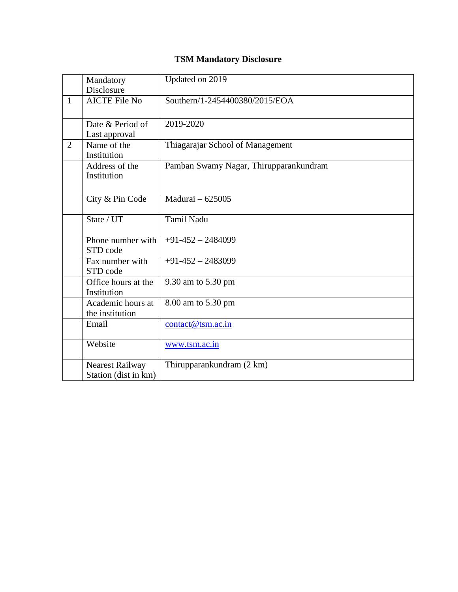## **TSM Mandatory Disclosure**

|                | Mandatory<br>Disclosure                        | Updated on 2019                        |
|----------------|------------------------------------------------|----------------------------------------|
|                |                                                |                                        |
| $\mathbf{1}$   | <b>AICTE File No</b>                           | Southern/1-2454400380/2015/EOA         |
|                | Date & Period of<br>Last approval              | 2019-2020                              |
| $\overline{2}$ | Name of the<br>Institution                     | Thiagarajar School of Management       |
|                | Address of the<br>Institution                  | Pamban Swamy Nagar, Thirupparankundram |
|                | City & Pin Code                                | Madurai - 625005                       |
|                | State / UT                                     | <b>Tamil Nadu</b>                      |
|                | Phone number with<br>STD code                  | $+91-452-2484099$                      |
|                | Fax number with<br>STD code                    | $+91-452-2483099$                      |
|                | Office hours at the<br>Institution             | 9.30 am to 5.30 pm                     |
|                | Academic hours at<br>the institution           | 8.00 am to 5.30 pm                     |
|                | Email                                          | contact@tsm.ac.in                      |
|                | Website                                        | www.tsm.ac.in                          |
|                | <b>Nearest Railway</b><br>Station (dist in km) | Thirupparankundram (2 km)              |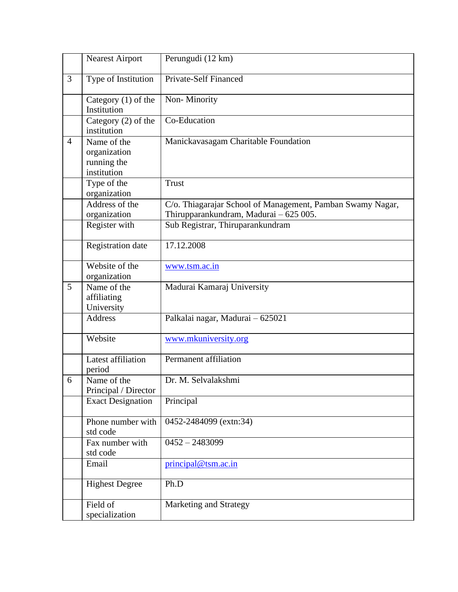|                | <b>Nearest Airport</b>                                                                            | Perungudi (12 km)                                                                                    |
|----------------|---------------------------------------------------------------------------------------------------|------------------------------------------------------------------------------------------------------|
| 3              | Type of Institution                                                                               | <b>Private-Self Financed</b>                                                                         |
|                | Category $(1)$ of the<br>Institution                                                              | Non-Minority                                                                                         |
|                | Category $(2)$ of the<br>institution                                                              | Co-Education                                                                                         |
| $\overline{4}$ | Manickavasagam Charitable Foundation<br>Name of the<br>organization<br>running the<br>institution |                                                                                                      |
|                | Type of the<br>organization                                                                       | <b>Trust</b>                                                                                         |
|                | Address of the<br>organization                                                                    | C/o. Thiagarajar School of Management, Pamban Swamy Nagar,<br>Thirupparankundram, Madurai - 625 005. |
|                | Register with                                                                                     | Sub Registrar, Thiruparankundram                                                                     |
|                | <b>Registration</b> date                                                                          | 17.12.2008                                                                                           |
|                | Website of the<br>organization                                                                    | www.tsm.ac.in                                                                                        |
| 5              | Name of the<br>affiliating<br>University                                                          | Madurai Kamaraj University                                                                           |
|                | <b>Address</b>                                                                                    | Palkalai nagar, Madurai - 625021                                                                     |
|                | Website                                                                                           | www.mkuniversity.org                                                                                 |
|                | Latest affiliation<br>period                                                                      | Permanent affiliation                                                                                |
| 6              | Name of the<br>Principal / Director                                                               | Dr. M. Selvalakshmi                                                                                  |
|                | <b>Exact Designation</b>                                                                          | Principal                                                                                            |
|                | Phone number with<br>std code                                                                     | 0452-2484099 (extn:34)                                                                               |
|                | Fax number with<br>std code                                                                       | $0452 - 2483099$                                                                                     |
|                | Email                                                                                             | principal@tsm.ac.in                                                                                  |
|                | <b>Highest Degree</b>                                                                             | Ph.D                                                                                                 |
|                | Field of<br>specialization                                                                        | Marketing and Strategy                                                                               |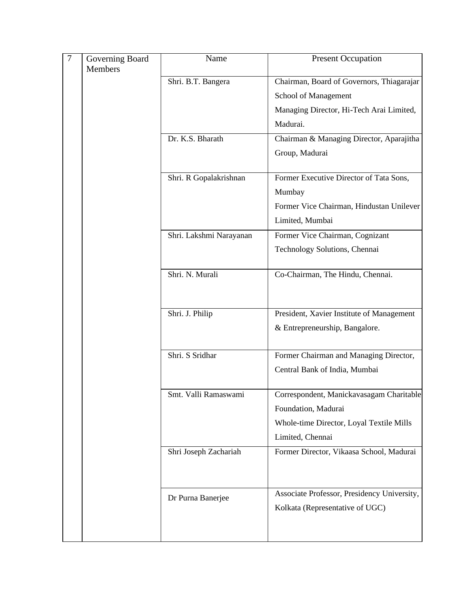| $\overline{7}$ | Governing Board<br><b>Members</b> | Name                    | <b>Present Occupation</b>                   |
|----------------|-----------------------------------|-------------------------|---------------------------------------------|
|                |                                   | Shri. B.T. Bangera      | Chairman, Board of Governors, Thiagarajar   |
|                |                                   |                         | School of Management                        |
|                |                                   |                         | Managing Director, Hi-Tech Arai Limited,    |
|                |                                   |                         | Madurai.                                    |
|                |                                   | Dr. K.S. Bharath        | Chairman & Managing Director, Aparajitha    |
|                |                                   |                         | Group, Madurai                              |
|                |                                   | Shri. R Gopalakrishnan  | Former Executive Director of Tata Sons,     |
|                |                                   |                         | Mumbay                                      |
|                |                                   |                         | Former Vice Chairman, Hindustan Unilever    |
|                |                                   |                         | Limited, Mumbai                             |
|                |                                   | Shri. Lakshmi Narayanan | Former Vice Chairman, Cognizant             |
|                |                                   |                         | Technology Solutions, Chennai               |
|                |                                   | Shri. N. Murali         | Co-Chairman, The Hindu, Chennai.            |
|                |                                   |                         |                                             |
|                |                                   | Shri. J. Philip         | President, Xavier Institute of Management   |
|                |                                   |                         | & Entrepreneurship, Bangalore.              |
|                |                                   | Shri. S Sridhar         | Former Chairman and Managing Director,      |
|                |                                   |                         | Central Bank of India, Mumbai               |
|                |                                   | Smt. Valli Ramaswami    | Correspondent, Manickavasagam Charitable    |
|                |                                   |                         | Foundation, Madurai                         |
|                |                                   |                         | Whole-time Director, Loyal Textile Mills    |
|                |                                   |                         | Limited, Chennai                            |
|                |                                   | Shri Joseph Zachariah   | Former Director, Vikaasa School, Madurai    |
|                |                                   |                         |                                             |
|                |                                   | Dr Purna Banerjee       | Associate Professor, Presidency University, |
|                |                                   |                         | Kolkata (Representative of UGC)             |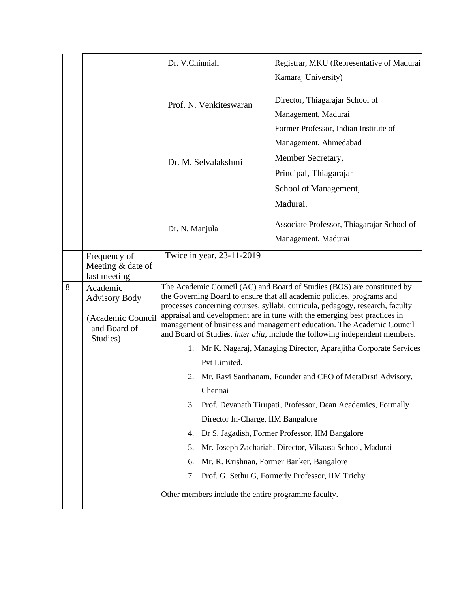|   |                                                                                   | Dr. V.Chinniah                                                                                                                                                                                                                                                                                                                                                                                                                                                                                                                                                                                                                                                                                                                                                                                                                                                                                                                                                                                                                                         | Registrar, MKU (Representative of Madurai<br>Kamaraj University)                                                         |
|---|-----------------------------------------------------------------------------------|--------------------------------------------------------------------------------------------------------------------------------------------------------------------------------------------------------------------------------------------------------------------------------------------------------------------------------------------------------------------------------------------------------------------------------------------------------------------------------------------------------------------------------------------------------------------------------------------------------------------------------------------------------------------------------------------------------------------------------------------------------------------------------------------------------------------------------------------------------------------------------------------------------------------------------------------------------------------------------------------------------------------------------------------------------|--------------------------------------------------------------------------------------------------------------------------|
|   |                                                                                   | Prof. N. Venkiteswaran                                                                                                                                                                                                                                                                                                                                                                                                                                                                                                                                                                                                                                                                                                                                                                                                                                                                                                                                                                                                                                 | Director, Thiagarajar School of<br>Management, Madurai<br>Former Professor, Indian Institute of<br>Management, Ahmedabad |
|   |                                                                                   | Dr. M. Selvalakshmi                                                                                                                                                                                                                                                                                                                                                                                                                                                                                                                                                                                                                                                                                                                                                                                                                                                                                                                                                                                                                                    | Member Secretary,<br>Principal, Thiagarajar<br>School of Management,<br>Madurai.                                         |
|   |                                                                                   | Dr. N. Manjula                                                                                                                                                                                                                                                                                                                                                                                                                                                                                                                                                                                                                                                                                                                                                                                                                                                                                                                                                                                                                                         | Associate Professor, Thiagarajar School of<br>Management, Madurai                                                        |
|   | Frequency of<br>Meeting & date of<br>last meeting                                 | Twice in year, 23-11-2019                                                                                                                                                                                                                                                                                                                                                                                                                                                                                                                                                                                                                                                                                                                                                                                                                                                                                                                                                                                                                              |                                                                                                                          |
| 8 | Academic<br><b>Advisory Body</b><br>(Academic Council<br>and Board of<br>Studies) | The Academic Council (AC) and Board of Studies (BOS) are constituted by<br>the Governing Board to ensure that all academic policies, programs and<br>processes concerning courses, syllabi, curricula, pedagogy, research, faculty<br>appraisal and development are in tune with the emerging best practices in<br>management of business and management education. The Academic Council<br>and Board of Studies, inter alia, include the following independent members.<br>1. Mr K. Nagaraj, Managing Director, Aparajitha Corporate Services<br>Pvt Limited.<br>Mr. Ravi Santhanam, Founder and CEO of MetaDrsti Advisory,<br>2.<br>Chennai<br>Prof. Devanath Tirupati, Professor, Dean Academics, Formally<br>3.<br>Director In-Charge, IIM Bangalore<br>Dr S. Jagadish, Former Professor, IIM Bangalore<br>4.<br>Mr. Joseph Zachariah, Director, Vikaasa School, Madurai<br>5.<br>Mr. R. Krishnan, Former Banker, Bangalore<br>6.<br>Prof. G. Sethu G, Formerly Professor, IIM Trichy<br>7.<br>Other members include the entire programme faculty. |                                                                                                                          |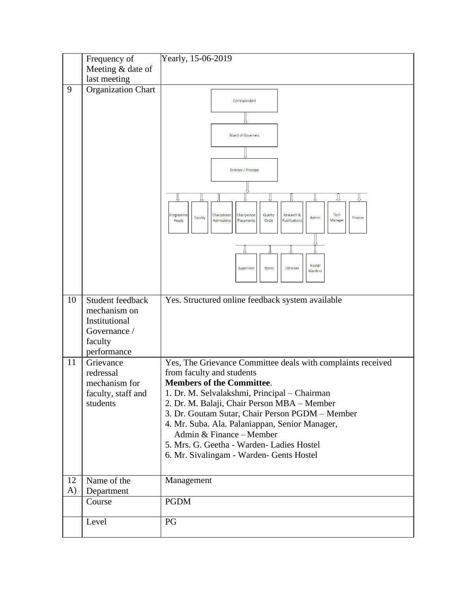|          | Frequency of<br>Meeting & date of                                                           | Yearly, 15-06-2019                                                                                                                                                                                                                                                                                                                                                                                                                                    |
|----------|---------------------------------------------------------------------------------------------|-------------------------------------------------------------------------------------------------------------------------------------------------------------------------------------------------------------------------------------------------------------------------------------------------------------------------------------------------------------------------------------------------------------------------------------------------------|
|          | last meeting                                                                                |                                                                                                                                                                                                                                                                                                                                                                                                                                                       |
| 9        | <b>Organization Chart</b>                                                                   | Correspondent<br><b>Board of Governers</b><br>Director / Principal<br>Quality<br>Research &<br>Tech<br>Chairperson<br>Chairperson<br>Programme<br>Admin<br>Faculty<br>Finance<br>Pubilications<br>Admissions<br>Placements<br>Circle<br>Manager<br>Heads<br>Hostel<br>Supervisor<br>Steno<br>Librarian<br>Wardens                                                                                                                                     |
| 10       | Student feedback<br>mechanism on<br>Institutional<br>Governance /<br>faculty<br>performance | Yes. Structured online feedback system available                                                                                                                                                                                                                                                                                                                                                                                                      |
| 11       | Grievance<br>redressal<br>mechanism for<br>faculty, staff and<br>students                   | Yes, The Grievance Committee deals with complaints received<br>from faculty and students<br><b>Members of the Committee.</b><br>1. Dr. M. Selvalakshmi, Principal - Chairman<br>2. Dr. M. Balaji, Chair Person MBA - Member<br>3. Dr. Goutam Sutar, Chair Person PGDM - Member<br>4. Mr. Suba. Ala. Palaniappan, Senior Manager,<br>Admin & Finance - Member<br>5. Mrs. G. Geetha - Warden- Ladies Hostel<br>6. Mr. Sivalingam - Warden- Gents Hostel |
| 12<br>A) | Name of the<br>Department                                                                   | Management                                                                                                                                                                                                                                                                                                                                                                                                                                            |
|          | Course                                                                                      | <b>PGDM</b>                                                                                                                                                                                                                                                                                                                                                                                                                                           |
|          | Level                                                                                       | PG                                                                                                                                                                                                                                                                                                                                                                                                                                                    |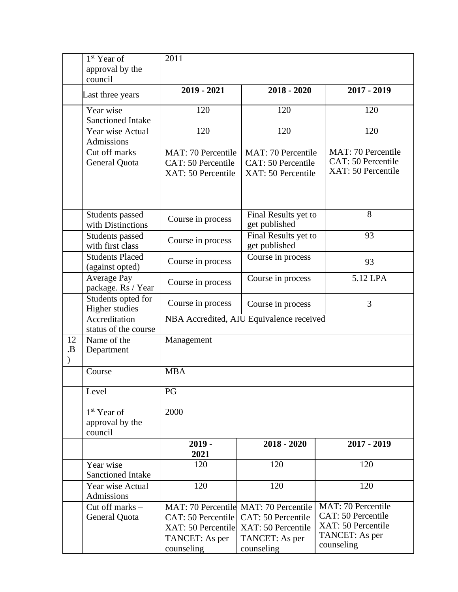|          | 1 <sup>st</sup> Year of                     | 2011                                                                     |                                                                                                                   |                                                                                                       |
|----------|---------------------------------------------|--------------------------------------------------------------------------|-------------------------------------------------------------------------------------------------------------------|-------------------------------------------------------------------------------------------------------|
|          | approval by the                             |                                                                          |                                                                                                                   |                                                                                                       |
|          | council                                     |                                                                          |                                                                                                                   |                                                                                                       |
|          | Last three years                            | $2019 - 2021$                                                            | $2018 - 2020$                                                                                                     | 2017 - 2019                                                                                           |
|          | Year wise<br><b>Sanctioned Intake</b>       | 120                                                                      | 120                                                                                                               | 120                                                                                                   |
|          | Year wise Actual<br>Admissions              | 120                                                                      | 120                                                                                                               | 120                                                                                                   |
|          | Cut off marks -<br>General Quota            | MAT: 70 Percentile<br>CAT: 50 Percentile<br>XAT: 50 Percentile           | MAT: 70 Percentile<br>CAT: 50 Percentile<br>XAT: 50 Percentile                                                    | <b>MAT: 70 Percentile</b><br>CAT: 50 Percentile<br>XAT: 50 Percentile                                 |
|          | Students passed<br>with Distinctions        | Course in process                                                        | Final Results yet to<br>get published                                                                             | 8                                                                                                     |
|          | Students passed<br>with first class         | Course in process                                                        | Final Results yet to<br>get published                                                                             | 93                                                                                                    |
|          | <b>Students Placed</b><br>(against opted)   | Course in process                                                        | Course in process                                                                                                 | 93                                                                                                    |
|          | <b>Average Pay</b><br>package. Rs / Year    | Course in process                                                        | Course in process                                                                                                 | 5.12 LPA                                                                                              |
|          | Students opted for<br>Higher studies        | Course in process                                                        | Course in process                                                                                                 | 3                                                                                                     |
|          | Accreditation<br>status of the course       | NBA Accredited, AIU Equivalence received                                 |                                                                                                                   |                                                                                                       |
| 12<br>.B | Name of the<br>Department                   | Management                                                               |                                                                                                                   |                                                                                                       |
|          | Course                                      | <b>MBA</b>                                                               |                                                                                                                   |                                                                                                       |
|          | Level                                       | PG                                                                       |                                                                                                                   |                                                                                                       |
|          | $1st$ Year of<br>approval by the<br>council | 2000                                                                     |                                                                                                                   |                                                                                                       |
|          |                                             | $2019 -$<br>2021                                                         | $2018 - 2020$                                                                                                     | 2017 - 2019                                                                                           |
|          | Year wise<br><b>Sanctioned Intake</b>       | 120                                                                      | 120                                                                                                               | 120                                                                                                   |
|          | Year wise Actual<br>Admissions              | 120                                                                      | 120                                                                                                               | 120                                                                                                   |
|          | Cut off marks -<br>General Quota            | CAT: 50 Percentile<br>XAT: 50 Percentile<br>TANCET: As per<br>counseling | MAT: 70 Percentile MAT: 70 Percentile<br>CAT: 50 Percentile<br>XAT: 50 Percentile<br>TANCET: As per<br>counseling | <b>MAT: 70 Percentile</b><br>CAT: 50 Percentile<br>XAT: 50 Percentile<br>TANCET: As per<br>counseling |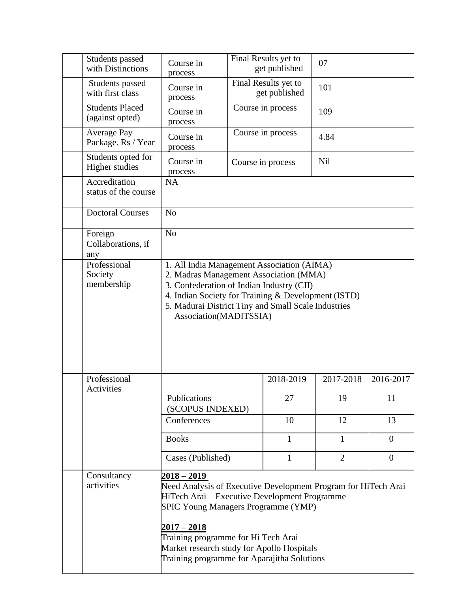| Students passed<br>with Distinctions      | Course in<br>process                                                                        | Final Results yet to<br>get published | 07             |                |
|-------------------------------------------|---------------------------------------------------------------------------------------------|---------------------------------------|----------------|----------------|
| Students passed<br>with first class       | Course in<br>process                                                                        | Final Results yet to<br>get published | 101            |                |
| <b>Students Placed</b><br>(against opted) | Course in<br>process                                                                        | Course in process                     | 109            |                |
| <b>Average Pay</b><br>Package. Rs / Year  | Course in<br>process                                                                        | Course in process                     | 4.84           |                |
| Students opted for<br>Higher studies      | Course in<br>process                                                                        | Course in process                     | <b>Nil</b>     |                |
| Accreditation<br>status of the course     | NA                                                                                          |                                       |                |                |
| <b>Doctoral Courses</b>                   | N <sub>o</sub>                                                                              |                                       |                |                |
| Foreign<br>Collaborations, if<br>any      | N <sub>o</sub>                                                                              |                                       |                |                |
| Professional                              | 1. All India Management Association (AIMA)                                                  |                                       |                |                |
| Society<br>membership                     | 2. Madras Management Association (MMA)<br>3. Confederation of Indian Industry (CII)         |                                       |                |                |
|                                           | 4. Indian Society for Training & Development (ISTD)                                         |                                       |                |                |
|                                           | 5. Madurai District Tiny and Small Scale Industries                                         |                                       |                |                |
|                                           | Association(MADITSSIA)                                                                      |                                       |                |                |
|                                           |                                                                                             |                                       |                |                |
|                                           |                                                                                             |                                       |                |                |
|                                           |                                                                                             |                                       |                |                |
|                                           |                                                                                             |                                       |                |                |
| Professional<br>Activities                |                                                                                             | 2018-2019                             | 2017-2018      | 2016-2017      |
|                                           | Publications                                                                                | 27                                    | 19             | 11             |
|                                           | (SCOPUS INDEXED)                                                                            |                                       |                |                |
|                                           | Conferences                                                                                 | 10                                    | 12             | 13             |
|                                           | <b>Books</b>                                                                                | $\mathbf{1}$                          | $\mathbf{1}$   | $\overline{0}$ |
|                                           | Cases (Published)                                                                           | $\mathbf{1}$                          | $\overline{2}$ | $\overline{0}$ |
| Consultancy                               | $2018 - 2019$                                                                               |                                       |                |                |
| activities                                | Need Analysis of Executive Development Program for HiTech Arai                              |                                       |                |                |
|                                           | HiTech Arai – Executive Development Programme<br><b>SPIC Young Managers Programme (YMP)</b> |                                       |                |                |
|                                           | $2017 - 2018$                                                                               |                                       |                |                |
|                                           | Training programme for Hi Tech Arai                                                         |                                       |                |                |
|                                           | Market research study for Apollo Hospitals                                                  |                                       |                |                |
|                                           | Training programme for Aparajitha Solutions                                                 |                                       |                |                |
|                                           |                                                                                             |                                       |                |                |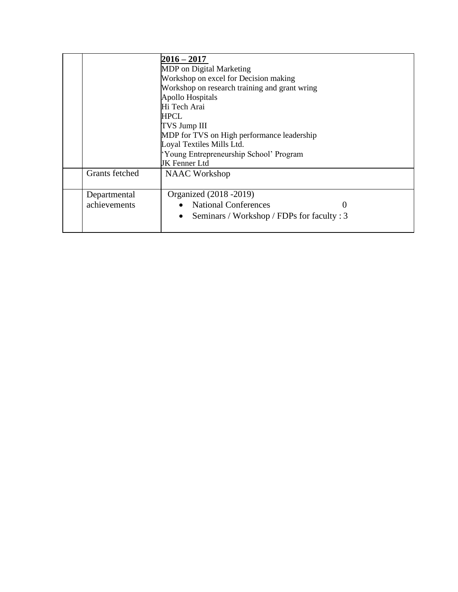|                                               | $2016 - 2017$                                           |  |
|-----------------------------------------------|---------------------------------------------------------|--|
|                                               | MDP on Digital Marketing                                |  |
|                                               | Workshop on excel for Decision making                   |  |
| Workshop on research training and grant wring |                                                         |  |
|                                               | <b>Apollo Hospitals</b>                                 |  |
|                                               | Hi Tech Arai                                            |  |
|                                               | HPCL                                                    |  |
|                                               | <b>TVS Jump III</b>                                     |  |
|                                               | MDP for TVS on High performance leadership              |  |
|                                               | Loyal Textiles Mills Ltd.                               |  |
|                                               | 'Young Entrepreneurship School' Program                 |  |
|                                               | JK Fenner Ltd                                           |  |
| Grants fetched                                | <b>NAAC</b> Workshop                                    |  |
|                                               |                                                         |  |
| Departmental                                  | Organized (2018 - 2019)                                 |  |
| achievements                                  | <b>National Conferences</b><br>0                        |  |
|                                               | Seminars / Workshop / FDPs for faculty : 3<br>$\bullet$ |  |
|                                               |                                                         |  |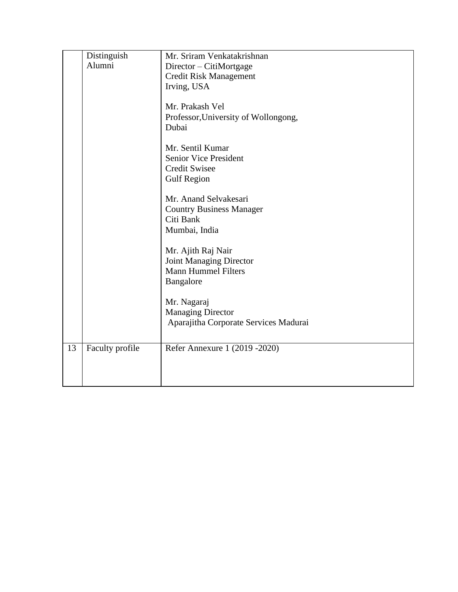|    | Distinguish     | Mr. Sriram Venkatakrishnan            |
|----|-----------------|---------------------------------------|
|    | Alumni          | Director – CitiMortgage               |
|    |                 | <b>Credit Risk Management</b>         |
|    |                 | Irving, USA                           |
|    |                 |                                       |
|    |                 | Mr. Prakash Vel                       |
|    |                 | Professor, University of Wollongong,  |
|    |                 | Dubai                                 |
|    |                 |                                       |
|    |                 | Mr. Sentil Kumar                      |
|    |                 | <b>Senior Vice President</b>          |
|    |                 | <b>Credit Swisee</b>                  |
|    |                 | <b>Gulf Region</b>                    |
|    |                 |                                       |
|    |                 | Mr. Anand Selvakesari                 |
|    |                 | <b>Country Business Manager</b>       |
|    |                 | Citi Bank                             |
|    |                 | Mumbai, India                         |
|    |                 | Mr. Ajith Raj Nair                    |
|    |                 | Joint Managing Director               |
|    |                 | <b>Mann Hummel Filters</b>            |
|    |                 | Bangalore                             |
|    |                 |                                       |
|    |                 | Mr. Nagaraj                           |
|    |                 | <b>Managing Director</b>              |
|    |                 | Aparajitha Corporate Services Madurai |
|    |                 |                                       |
|    |                 |                                       |
| 13 | Faculty profile | Refer Annexure 1 (2019 - 2020)        |
|    |                 |                                       |
|    |                 |                                       |
|    |                 |                                       |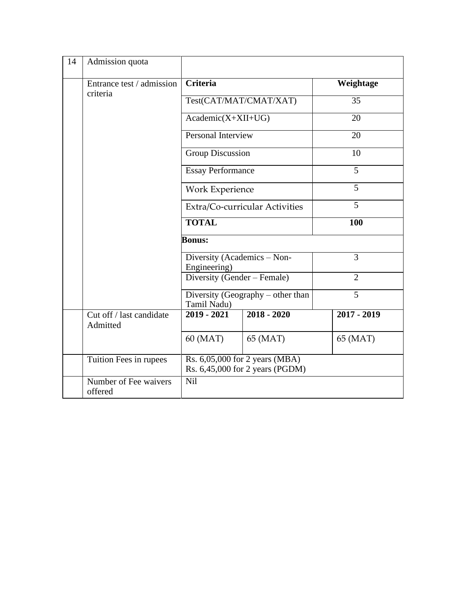| 14 | Admission quota                      |                                                                   |                        |                |  |
|----|--------------------------------------|-------------------------------------------------------------------|------------------------|----------------|--|
|    | Entrance test / admission            | <b>Criteria</b>                                                   | Weightage              |                |  |
|    | criteria                             |                                                                   | Test(CAT/MAT/CMAT/XAT) | 35             |  |
|    |                                      | $Academic(X+XII+UG)$                                              |                        | 20             |  |
|    |                                      | Personal Interview                                                |                        | 20             |  |
|    |                                      | <b>Group Discussion</b>                                           |                        | 10             |  |
|    |                                      | <b>Essay Performance</b>                                          |                        | 5              |  |
|    |                                      | <b>Work Experience</b>                                            |                        | $\overline{5}$ |  |
|    |                                      | Extra/Co-curricular Activities                                    |                        | $\overline{5}$ |  |
|    |                                      | <b>TOTAL</b>                                                      |                        | 100            |  |
|    |                                      | <b>Bonus:</b>                                                     |                        |                |  |
|    |                                      | Diversity (Academics - Non-<br>Engineering)                       |                        | 3              |  |
|    |                                      | Diversity (Gender - Female)                                       |                        | $\overline{2}$ |  |
|    |                                      | Diversity (Geography – other than<br>Tamil Nadu)                  |                        | $\overline{5}$ |  |
|    | Cut off / last candidate<br>Admitted | $2019 - 2021$                                                     | $2018 - 2020$          | $2017 - 2019$  |  |
|    |                                      | 60 (MAT)                                                          | 65 (MAT)               | 65 (MAT)       |  |
|    | Tuition Fees in rupees               | Rs. 6,05,000 for 2 years (MBA)<br>Rs. 6,45,000 for 2 years (PGDM) |                        |                |  |
|    | Number of Fee waivers<br>offered     | Nil                                                               |                        |                |  |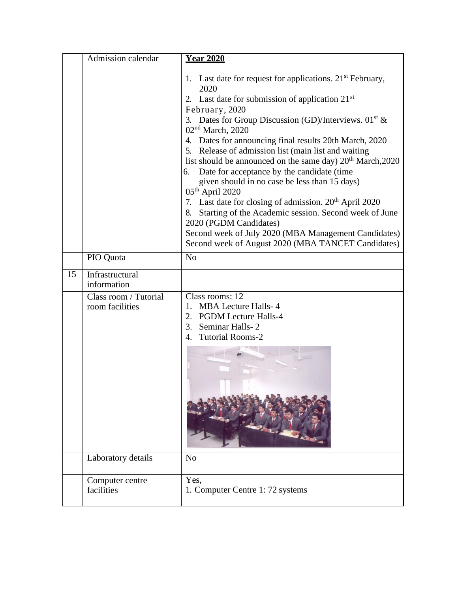|    | Admission calendar                       | <b>Year 2020</b>                                                                                                                                                                                                                                                                                                                                                                                                                                                                                                                                                                                                                                                                                                                                                                                                                        |
|----|------------------------------------------|-----------------------------------------------------------------------------------------------------------------------------------------------------------------------------------------------------------------------------------------------------------------------------------------------------------------------------------------------------------------------------------------------------------------------------------------------------------------------------------------------------------------------------------------------------------------------------------------------------------------------------------------------------------------------------------------------------------------------------------------------------------------------------------------------------------------------------------------|
|    |                                          | 1. Last date for request for applications. $21st$ February,<br>2020<br>2. Last date for submission of application $21st$<br>February, 2020<br>3. Dates for Group Discussion (GD)/Interviews. $01st$ &<br>$02nd$ March, 2020<br>4. Dates for announcing final results 20th March, 2020<br>5. Release of admission list (main list and waiting<br>list should be announced on the same day) 20 <sup>th</sup> March, 2020<br>Date for acceptance by the candidate (time<br>6.<br>given should in no case be less than 15 days)<br>05 <sup>th</sup> April 2020<br>7. Last date for closing of admission. 20 <sup>th</sup> April 2020<br>Starting of the Academic session. Second week of June<br>8.<br>2020 (PGDM Candidates)<br>Second week of July 2020 (MBA Management Candidates)<br>Second week of August 2020 (MBA TANCET Candidates) |
|    | PIO Quota                                | N <sub>o</sub>                                                                                                                                                                                                                                                                                                                                                                                                                                                                                                                                                                                                                                                                                                                                                                                                                          |
| 15 | Infrastructural<br>information           |                                                                                                                                                                                                                                                                                                                                                                                                                                                                                                                                                                                                                                                                                                                                                                                                                                         |
|    | Class room / Tutorial<br>room facilities | Class rooms: 12<br><b>MBA Lecture Halls-4</b><br>$1_{-}$<br>2. PGDM Lecture Halls-4<br>3.<br>Seminar Halls-2<br><b>Tutorial Rooms-2</b><br>4.                                                                                                                                                                                                                                                                                                                                                                                                                                                                                                                                                                                                                                                                                           |
|    | Laboratory details                       | N <sub>o</sub>                                                                                                                                                                                                                                                                                                                                                                                                                                                                                                                                                                                                                                                                                                                                                                                                                          |
|    | Computer centre<br>facilities            | Yes,<br>1. Computer Centre 1: 72 systems                                                                                                                                                                                                                                                                                                                                                                                                                                                                                                                                                                                                                                                                                                                                                                                                |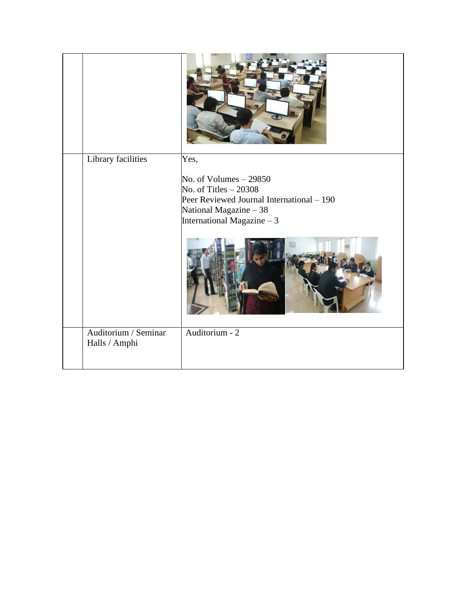| Library facilities                    | Yes,<br>No. of Volumes $-29850$<br>No. of Titles $-20308$<br>Peer Reviewed Journal International - 190<br>National Magazine - 38<br>International Magazine - 3 |
|---------------------------------------|----------------------------------------------------------------------------------------------------------------------------------------------------------------|
| Auditorium / Seminar<br>Halls / Amphi | Auditorium - 2                                                                                                                                                 |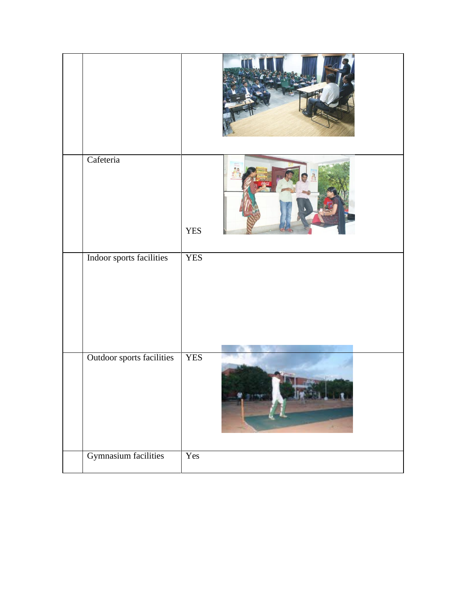| Cafeteria                        | <b>YES</b> |
|----------------------------------|------------|
| Indoor sports facilities         | <b>YES</b> |
| <b>Outdoor sports facilities</b> | <b>YES</b> |
| <b>Gymnasium facilities</b>      | Yes        |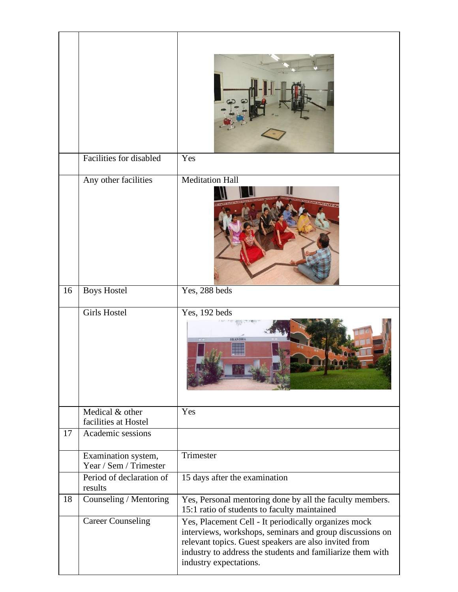|    | Facilities for disabled                       | Yes                                                                                                                                                                                                                                                               |
|----|-----------------------------------------------|-------------------------------------------------------------------------------------------------------------------------------------------------------------------------------------------------------------------------------------------------------------------|
|    | Any other facilities                          | Meditation Hall                                                                                                                                                                                                                                                   |
| 16 | <b>Boys Hostel</b>                            | Yes, 288 beds                                                                                                                                                                                                                                                     |
|    | <b>Girls Hostel</b>                           | Yes, 192 beds                                                                                                                                                                                                                                                     |
|    | Medical & other<br>facilities at Hostel       | Yes                                                                                                                                                                                                                                                               |
| 17 | Academic sessions                             |                                                                                                                                                                                                                                                                   |
|    | Examination system,<br>Year / Sem / Trimester | Trimester                                                                                                                                                                                                                                                         |
|    | Period of declaration of<br>results           | 15 days after the examination                                                                                                                                                                                                                                     |
| 18 | Counseling / Mentoring                        | Yes, Personal mentoring done by all the faculty members.<br>15:1 ratio of students to faculty maintained                                                                                                                                                          |
|    | <b>Career Counseling</b>                      | Yes, Placement Cell - It periodically organizes mock<br>interviews, workshops, seminars and group discussions on<br>relevant topics. Guest speakers are also invited from<br>industry to address the students and familiarize them with<br>industry expectations. |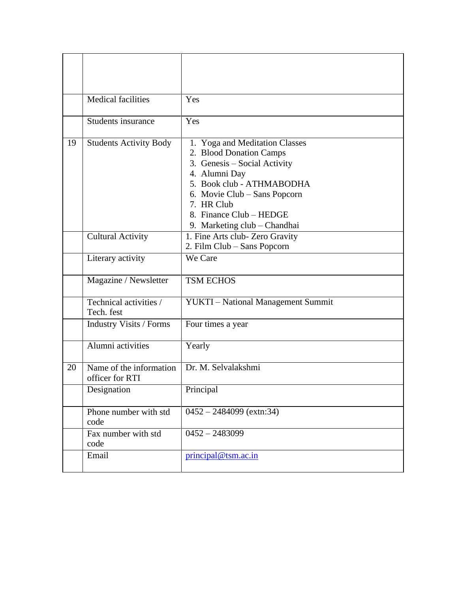|    | <b>Medical facilities</b>                  | Yes                                                                                                                                                                                                                                              |
|----|--------------------------------------------|--------------------------------------------------------------------------------------------------------------------------------------------------------------------------------------------------------------------------------------------------|
|    | <b>Students insurance</b>                  | Yes                                                                                                                                                                                                                                              |
| 19 | <b>Students Activity Body</b>              | 1. Yoga and Meditation Classes<br>2. Blood Donation Camps<br>3. Genesis – Social Activity<br>4. Alumni Day<br>5. Book club - ATHMABODHA<br>6. Movie Club – Sans Popcorn<br>7. HR Club<br>8. Finance Club - HEDGE<br>9. Marketing club - Chandhai |
|    | <b>Cultural Activity</b>                   | 1. Fine Arts club- Zero Gravity<br>2. Film Club - Sans Popcorn                                                                                                                                                                                   |
|    | Literary activity                          | We Care                                                                                                                                                                                                                                          |
|    | Magazine / Newsletter                      | <b>TSM ECHOS</b>                                                                                                                                                                                                                                 |
|    | Technical activities /<br>Tech. fest       | YUKTI - National Management Summit                                                                                                                                                                                                               |
|    | <b>Industry Visits / Forms</b>             | Four times a year                                                                                                                                                                                                                                |
|    | Alumni activities                          | Yearly                                                                                                                                                                                                                                           |
| 20 | Name of the information<br>officer for RTI | Dr. M. Selvalakshmi                                                                                                                                                                                                                              |
|    | Designation                                | Principal                                                                                                                                                                                                                                        |
|    | Phone number with std<br>code              | $0452 - 2484099$ (extn:34)                                                                                                                                                                                                                       |
|    | Fax number with std<br>code                | $0452 - 2483099$                                                                                                                                                                                                                                 |
|    | Email                                      | principal@tsm.ac.in                                                                                                                                                                                                                              |